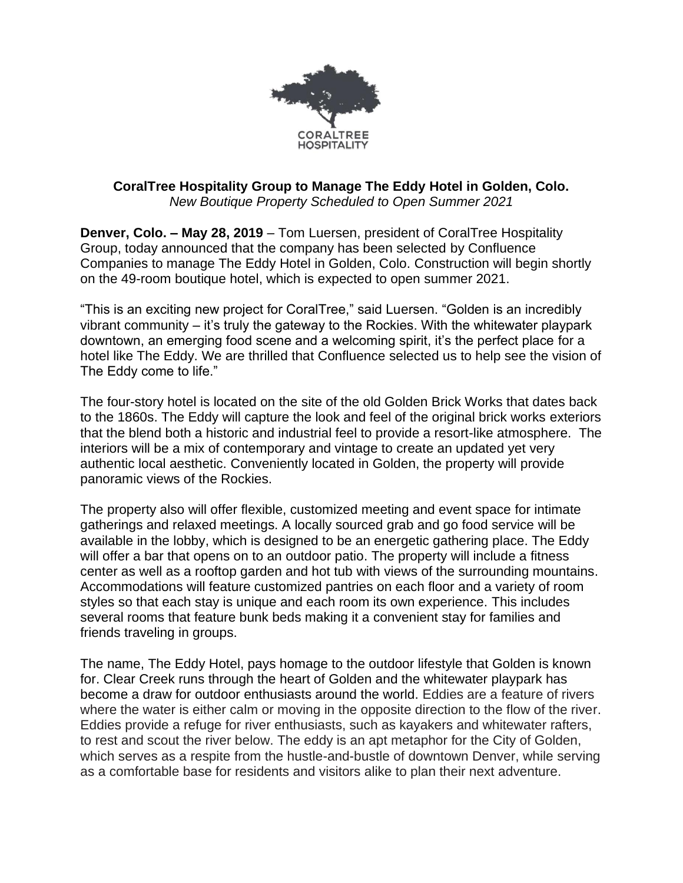

## **CoralTree Hospitality Group to Manage The Eddy Hotel in Golden, Colo.**  *New Boutique Property Scheduled to Open Summer 2021*

**Denver, Colo. – May 28, 2019** – Tom Luersen, president of CoralTree Hospitality Group, today announced that the company has been selected by Confluence Companies to manage The Eddy Hotel in Golden, Colo. Construction will begin shortly on the 49-room boutique hotel, which is expected to open summer 2021.

"This is an exciting new project for CoralTree," said Luersen. "Golden is an incredibly vibrant community – it's truly the gateway to the Rockies. With the whitewater playpark downtown, an emerging food scene and a welcoming spirit, it's the perfect place for a hotel like The Eddy. We are thrilled that Confluence selected us to help see the vision of The Eddy come to life."

The four-story hotel is located on the site of the old Golden Brick Works that dates back to the 1860s. The Eddy will capture the look and feel of the original brick works exteriors that the blend both a historic and industrial feel to provide a resort-like atmosphere. The interiors will be a mix of contemporary and vintage to create an updated yet very authentic local aesthetic. Conveniently located in Golden, the property will provide panoramic views of the Rockies.

The property also will offer flexible, customized meeting and event space for intimate gatherings and relaxed meetings. A locally sourced grab and go food service will be available in the lobby, which is designed to be an energetic gathering place. The Eddy will offer a bar that opens on to an outdoor patio. The property will include a fitness center as well as a rooftop garden and hot tub with views of the surrounding mountains. Accommodations will feature customized pantries on each floor and a variety of room styles so that each stay is unique and each room its own experience. This includes several rooms that feature bunk beds making it a convenient stay for families and friends traveling in groups.

The name, The Eddy Hotel, pays homage to the outdoor lifestyle that Golden is known for. Clear Creek runs through the heart of Golden and the whitewater playpark has become a draw for outdoor enthusiasts around the world. Eddies are a feature of rivers where the water is either calm or moving in the opposite direction to the flow of the river. Eddies provide a refuge for river enthusiasts, such as kayakers and whitewater rafters, to rest and scout the river below. The eddy is an apt metaphor for the City of Golden, which serves as a respite from the hustle-and-bustle of downtown Denver, while serving as a comfortable base for residents and visitors alike to plan their next adventure.